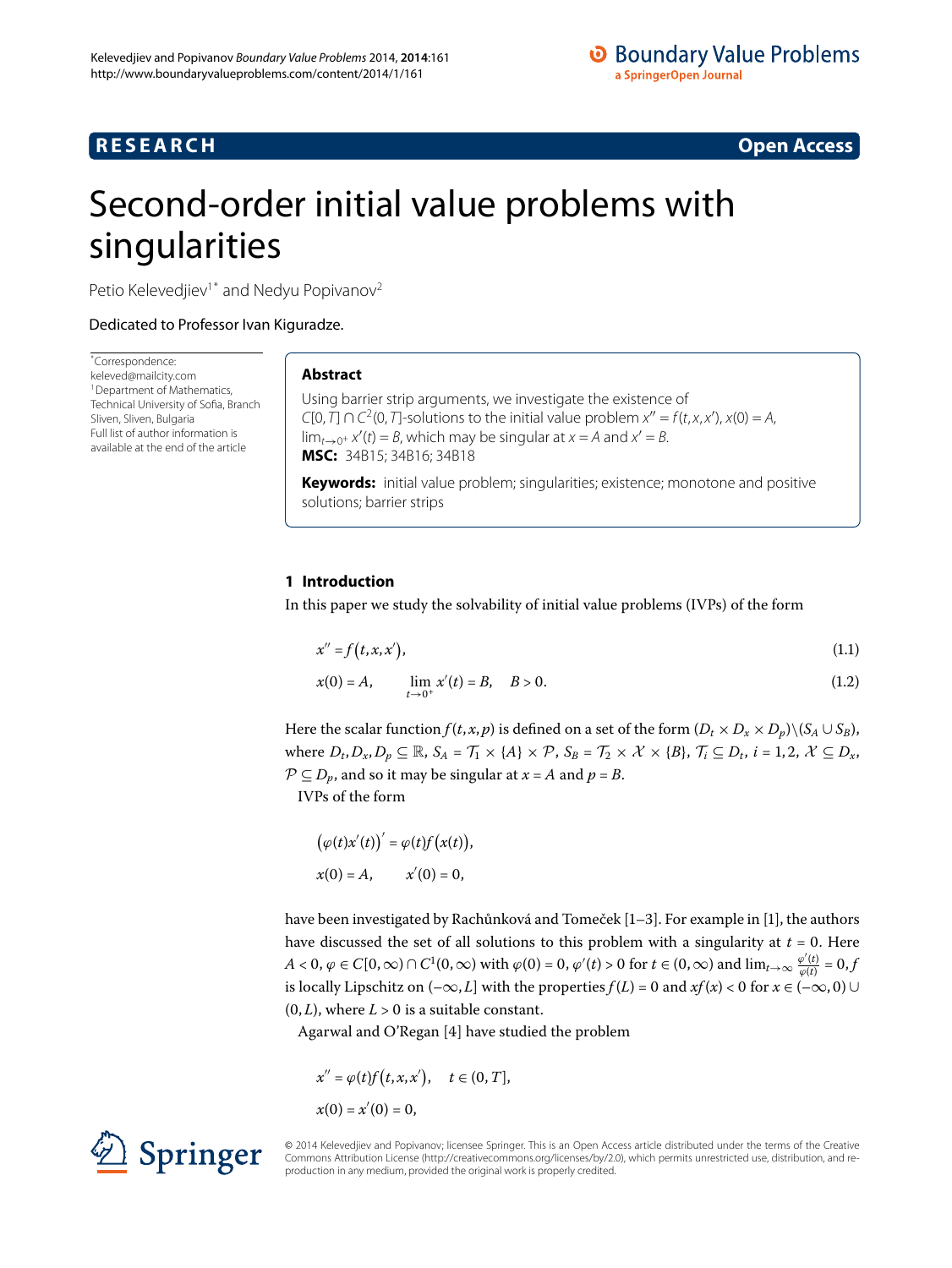# **R E S E A R C H Open Access**

<span id="page-0-2"></span><span id="page-0-1"></span>

# <span id="page-0-0"></span>Second-order initial value problems with singularities

Petio Kelevedjiev<sup>[1](#page-14-0)[\\*](#page-0-0)</sup> and Nedyu Popivanov<sup>[2](#page-14-1)</sup>

Dedicated to Professor Ivan Kiguradze.

\* Correspondence: [keleved@mailcity.com](mailto:keleved@mailcity.com) <sup>1</sup> Department of Mathematics, Technical University of Sofia, Branch Sliven, Sliven, Bulgaria Full list of author information is available at the end of the article

# **Abstract**

Using barrier strip arguments, we investigate the existence of  $C[0, T] \cap C^2(0, T]$ -solutions to the initial value problem  $x'' = f(t, x, x')$ ,  $x(0) = A$ ,  $\lim_{t\to 0^+} x'(t) = B$ , which may be singular at  $x = A$  and  $x' = B$ . **MSC:** 34B15; 34B16; 34B18

**Keywords:** initial value problem; singularities; existence; monotone and positive solutions; barrier strips

# **1 Introduction**

In this paper we study the solvability of initial value problems (IVPs) of the form

$$
x'' = f(t, x, x'), \tag{1.1}
$$

$$
x(0) = A, \qquad \lim_{t \to 0^+} x'(t) = B, \quad B > 0. \tag{1.2}
$$

Here the scalar function  $f(t, x, p)$  is defined on a set of the form  $(D_t \times D_x \times D_p) \setminus (S_A \cup S_B)$ , where  $D_t$ ,  $D_x$ ,  $D_p \subseteq \mathbb{R}$ ,  $S_A = \mathcal{T}_1 \times \{A\} \times \mathcal{P}$ ,  $S_B = \mathcal{T}_2 \times \mathcal{X} \times \{B\}$ ,  $\mathcal{T}_i \subseteq D_t$ ,  $i = 1, 2, \mathcal{X} \subseteq D_x$ ,  $P \subseteq D_p$ , and so it may be singular at  $x = A$  and  $p = B$ .

IVPs of the form

$$
(\varphi(t)x'(t))' = \varphi(t)f(x(t)),
$$
  
 
$$
x(0) = A, \qquad x'(0) = 0,
$$

have been investigated by Rachůnková and Tomeček  $[1-3]$  $[1-3]$ . For example in  $[1]$ , the authors have discussed the set of all solutions to this problem with a singularity at  $t = 0$ . Here  $A < 0, \varphi \in C[0,\infty) \cap C^1(0,\infty)$  with  $\varphi(0) = 0, \varphi'(t) > 0$  for  $t \in (0,\infty)$  and  $\lim_{t \to \infty} \frac{\varphi'(t)}{\varphi(t)} = 0,$ is locally Lipschitz on  $(-\infty, L]$  with the properties  $f(L) = 0$  and  $xf(x) < 0$  for  $x \in (-\infty, 0) \cup$  $(0, L)$ , where  $L > 0$  is a suitable constant.

Agarwal and O'Regan  $[4]$  $[4]$  have studied the problem

$$
x'' = \varphi(t) f(t, x, x'), \quad t \in (0, T],
$$
  

$$
x(0) = x'(0) = 0,
$$



© 2014 Kelevedjiev and Popivanov; licensee Springer. This is an Open Access article distributed under the terms of the Creative Commons Attribution License (http://creativecommons.org/licenses/by/2.0), which permits unrestricted use, distribution, and reproduction in any medium, provided the original work is properly credited.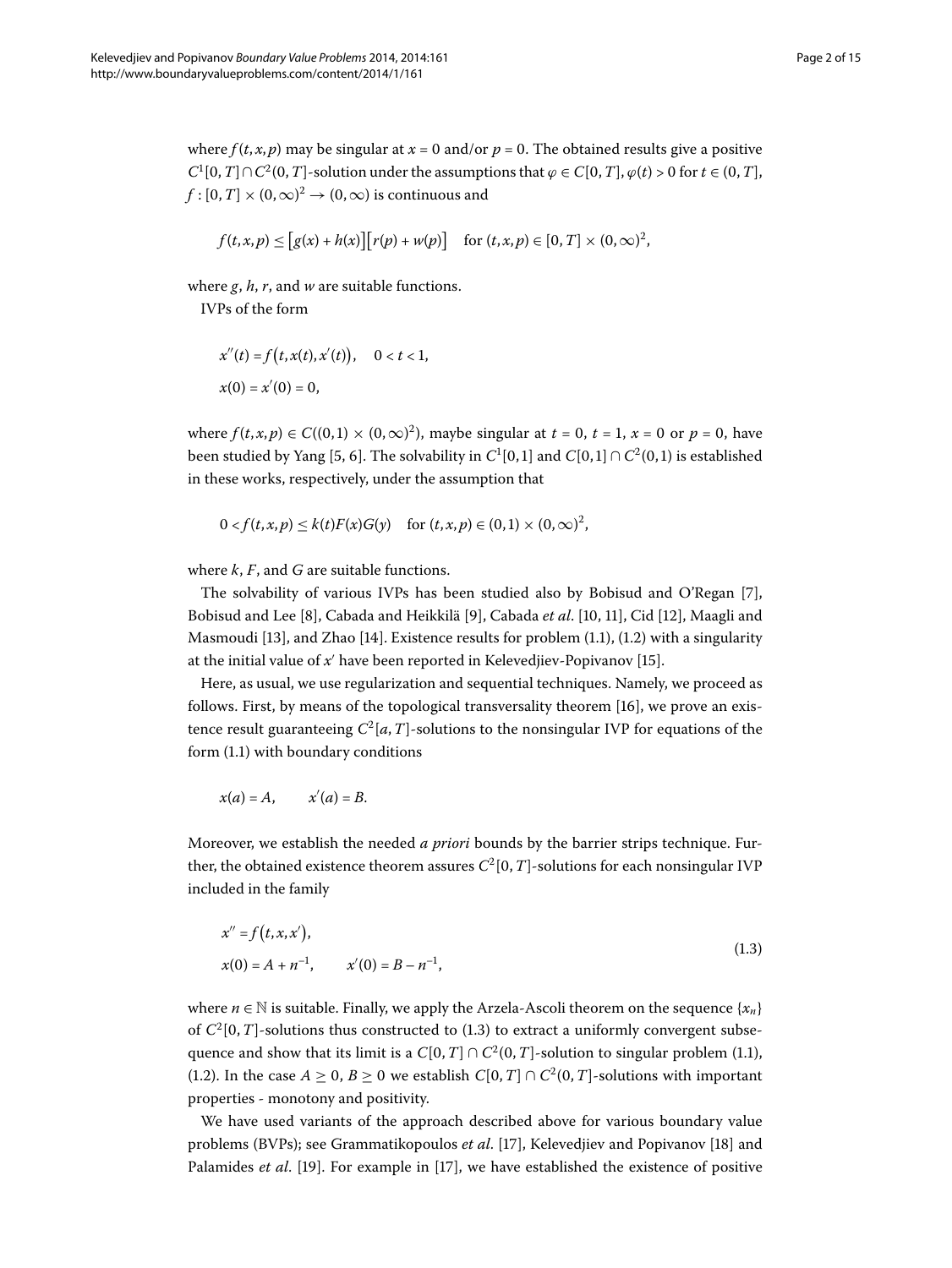where  $f(t, x, p)$  may be singular at  $x = 0$  and/or  $p = 0$ . The obtained results give a positive  $C^1[0,T] \cap C^2(0,T]$ -solution under the assumptions that  $\varphi \in C[0,T]$ ,  $\varphi(t) > 0$  for  $t \in (0,T]$ ,  $f:[0,T]\times (0,\infty)^2 \to (0,\infty)$  is continuous and

$$
f(t, x, p) \le [g(x) + h(x)][r(p) + w(p)] \text{ for } (t, x, p) \in [0, T] \times (0, \infty)^2,
$$

where *g*, *h*, *r*, and *w* are suitable functions.

IVPs of the form

$$
x''(t) = f(t, x(t), x'(t)), \quad 0 < t < 1,
$$
  

$$
x(0) = x'(0) = 0,
$$

where  $f(t, x, p) \in C((0, 1) \times (0, \infty)^2)$ , maybe singular at  $t = 0$ ,  $t = 1$ ,  $x = 0$  or  $p = 0$ , have been studied by Yang [5, 6[\]](#page-14-6). The solvability in  $C^1[0,1]$  and  $C[0,1] \cap C^2(0,1)$  is established in these works, respectively, under the assumption that

$$
0 < f(t, x, p) \leq k(t)F(x)G(y) \quad \text{for } (t, x, p) \in (0, 1) \times (0, \infty)^2,
$$

where *k*, *F*, and *G* are suitable functions.

The solvability of various IVPs has been studied also by Bobisud and O'Regan [[\]](#page-14-7), Bobisud and Lee [8[\]](#page-14-11), Cabada and Heikkilä [9], Cabada *et al.* [10, 11], Cid [12], Maagli and Masmoudi [13], and Zhao [14][.](#page-0-1) Existence results for problem  $(1.1)$ ,  $(1.2)$  with a singularity at the initial value of  $x'$  have been reported in Kelevedjiev-Popivanov [15[\]](#page-14-15).

Here, as usual, we use regularization and sequential techniques. Namely, we proceed as follows. First, by means of the topological transversality theorem  $[16]$  $[16]$ , we prove an existence result guaranteeing  $C^2[a,T]$ -solutions to the nonsingular IVP for equations of the form  $(1.1)$  with boundary conditions

<span id="page-1-0"></span>
$$
x(a) = A, \qquad x'(a) = B.
$$

Moreover, we establish the needed *a priori* bounds by the barrier strips technique. Further, the obtained existence theorem assures  $C^2[0,T]$ -solutions for each nonsingular IVP included in the family

$$
x'' = f(t, x, x'),
$$
  
\n
$$
x(0) = A + n^{-1}, \qquad x'(0) = B - n^{-1},
$$
\n(1.3)

where  $n \in \mathbb{N}$  is suitable. Finally, we apply the Arzela-Ascoli theorem on the sequence { $x_n$ } of  $C^2[0,T]$ -solutions thus constructed to (1.3) to extract a uniformly convergent subsequence and show that its limit is a  $C[0,T] \cap C^2(0,T]$ -solution to singular problem (1.1), (1[.](#page-0-2)2). In the case  $A \geq 0$ ,  $B \geq 0$  we establish  $C[0, T] \cap C^2(0, T]$ -solutions with important properties - monotony and positivity.

We have used variants of the approach described above for various boundary value problems (BVPs); see Grammatikopoulos *et al.* [17[\]](#page-14-17), Kelevedjiev and Popivanov [\[](#page-14-18)18] and Palamides *et al.* [\[](#page-14-19)19]. For example in [17], we have established the existence of positive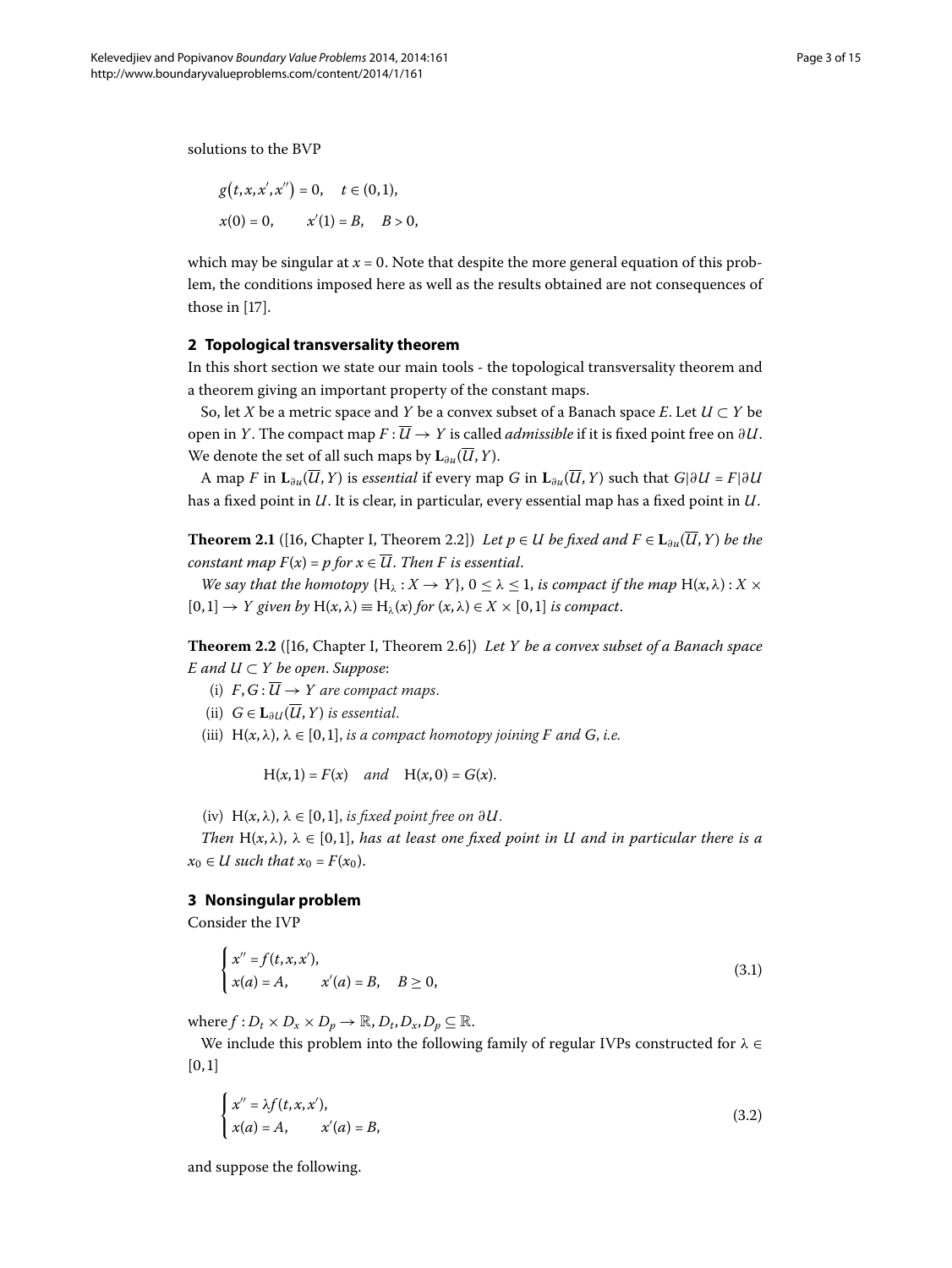solutions to the BVP

$$
g(t, x, x', x'') = 0, \quad t \in (0, 1),
$$
  

$$
x(0) = 0, \qquad x'(1) = B, \quad B > 0,
$$

which may be singular at  $x = 0$ . Note that despite the more general equation of this problem, the conditions imposed here as well as the results obtained are not consequences of those in  $[17]$  $[17]$ .

## **2 Topological transversality theorem**

In this short section we state our main tools - the topological transversality theorem and a theorem giving an important property of the constant maps.

<span id="page-2-3"></span>So, let *X* be a metric space and *Y* be a convex subset of a Banach space *E*. Let  $U \subset Y$  be open in *Y*. The compact map  $F: \overline{U} \to Y$  is called *admissible* if it is fixed point free on  $\partial U$ . We denote the set of all such maps by  $\mathbf{L}_{\partial u}(\overline{U}, Y)$ .

<span id="page-2-2"></span>A map *F* in  $\mathbf{L}_{\partial u}(\overline{U}, Y)$  is *essential* if every map *G* in  $\mathbf{L}_{\partial u}(\overline{U}, Y)$  such that  $G|\partial U = F|\partial U$ has a fixed point in *U*. It is clear, in particular, every essential map has a fixed point in *U*.

**Theorem 2.1** ([\[](#page-14-16)16, Chapter I, Theorem 2.2]) *Let p* ∈ *U be fixed and*  $F \in L_{\partial u}(\overline{U}, Y)$  *be the constant map*  $F(x) = p$  *for*  $x \in \overline{U}$ *. Then F is essential.* 

*We say that the homotopy*  $\{H_\lambda : X \to Y\}$ ,  $0 \le \lambda \le 1$ , *is compact if the map*  $H(x, \lambda)$ :  $X \times$  $[0, 1] \rightarrow Y$  given by  $H(x, \lambda) \equiv H_{\lambda}(x)$  for  $(x, \lambda) \in X \times [0, 1]$  is compact.

**Theorem 2.2** ([16, Chapter I, Theorem 2.6]) Let Y be a convex subset of a Banach space *E* and  $U \subset Y$  be open. Suppose:

- (i)  $F, G: \overline{U} \rightarrow Y$  are compact maps.
- (ii)  $G \in L_{\partial U}(\overline{U}, Y)$  *is essential.*
- (iii)  $H(x, \lambda)$ ,  $\lambda \in [0, 1]$ , *is a compact homotopy joining F and G*, *i.e.*

<span id="page-2-1"></span>
$$
H(x, 1) = F(x)
$$
 and  $H(x, 0) = G(x)$ .

(iv)  $H(x, \lambda)$ ,  $\lambda \in [0, 1]$ , *is fixed point free on*  $\partial U$ .

*Then*  $H(x, \lambda)$ ,  $\lambda \in [0, 1]$ , has at least one fixed point in U and in particular there is a  $x_0 \in U$  such that  $x_0 = F(x_0)$ .

### **3 Nonsingular problem**

Consider the IVP

<span id="page-2-0"></span>
$$
\begin{cases}\nx'' = f(t, x, x'), \\
x(a) = A, \quad x'(a) = B, \quad B \ge 0,\n\end{cases}
$$
\n(3.1)

where  $f: D_t \times D_x \times D_n \to \mathbb{R}, D_t, D_x, D_n \subseteq \mathbb{R}.$ 

We include this problem into the following family of regular IVPs constructed for *λ* ∈  $[0, 1]$ 

$$
\begin{cases}\nx'' = \lambda f(t, x, x'), \\
x(a) = A, \quad x'(a) = B,\n\end{cases}
$$
\n(3.2)

and suppose the following.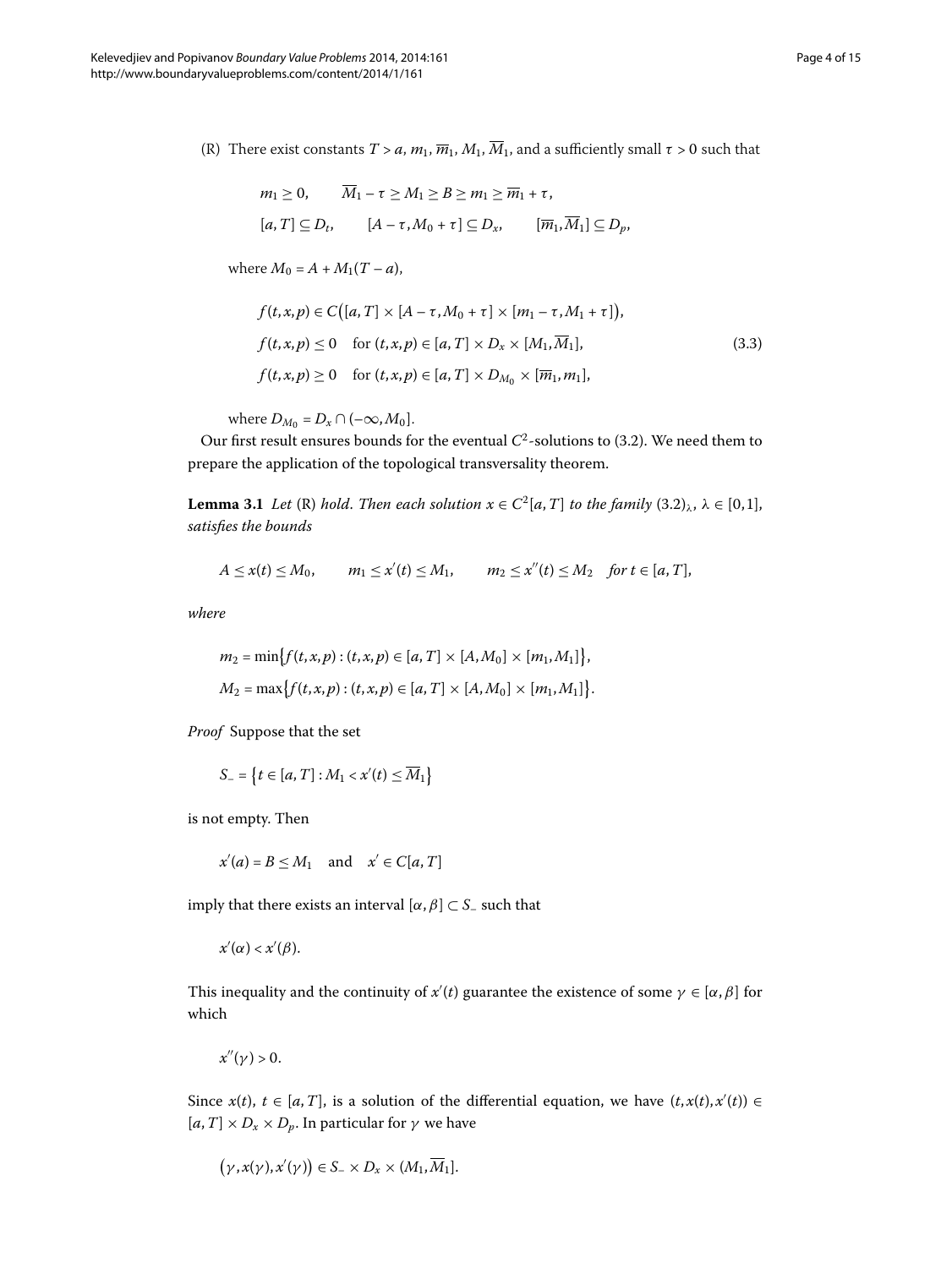(R) There exist constants  $T > a$ ,  $m_1$ ,  $\overline{m}_1$ ,  $M_1$ ,  $\overline{M}_1$ , and a sufficiently small  $\tau > 0$  such that

<span id="page-3-0"></span>
$$
m_1 \ge 0, \qquad \overline{M}_1 - \tau \ge M_1 \ge B \ge m_1 \ge \overline{m}_1 + \tau,
$$
  
\n
$$
[a, T] \subseteq D_t, \qquad [A - \tau, M_0 + \tau] \subseteq D_x, \qquad [\overline{m}_1, \overline{M}_1] \subseteq D_p,
$$

where  $M_0 = A + M_1(T - a)$ ,

$$
f(t,x,p) \in C\big([a,T] \times [A - \tau, M_0 + \tau] \times [m_1 - \tau, M_1 + \tau]\big),
$$
  

$$
f(t,x,p) \le 0 \quad \text{for } (t,x,p) \in [a,T] \times D_x \times [M_1, \overline{M}_1],
$$
  

$$
f(t,x,p) \ge 0 \quad \text{for } (t,x,p) \in [a,T] \times D_{M_0} \times [\overline{m}_1, m_1],
$$
 (3.3)

where  $D_{M_0} = D_x \cap (-\infty, M_0]$ .

<span id="page-3-1"></span>Our first result ensures bounds for the eventual  $C^2$ -solutions to (3.2). We need them to prepare the application of the topological transversality theorem.

**Lemma 3.1** *Let* (R) *hold. Then each solution*  $x \in C^2[a, T]$  *to the family*  $(3.2)_{\lambda}$ ,  $\lambda \in [0, 1]$ , *satisfies the bounds*

$$
A \leq x(t) \leq M_0, \qquad m_1 \leq x'(t) \leq M_1, \qquad m_2 \leq x''(t) \leq M_2 \quad \text{for } t \in [a, T],
$$

*where*

$$
m_2 = \min \{ f(t, x, p) : (t, x, p) \in [a, T] \times [A, M_0] \times [m_1, M_1] \},\newline M_2 = \max \{ f(t, x, p) : (t, x, p) \in [a, T] \times [A, M_0] \times [m_1, M_1] \}.
$$

*Proof* Suppose that the set

$$
S_{-} = \{t \in [a, T] : M_1 < x'(t) \leq \overline{M}_1\}
$$

is not empty. Then

$$
x'(a) = B \le M_1 \quad \text{and} \quad x' \in C[a, T]
$$

imply that there exists an interval  $[α, β] \subset S$ – such that

*x* (*α*) < *x* (*β*).

This inequality and the continuity of  $x'(t)$  guarantee the existence of some  $\gamma \in [\alpha, \beta]$  for which

 $x''(\nu) > 0$ .

Since  $x(t)$ ,  $t \in [a, T]$ , is a solution of the differential equation, we have  $(t, x(t), x'(t)) \in$  $[a, T] \times D_x \times D_p$ . In particular for  $\gamma$  we have

$$
(\gamma, x(\gamma), x'(\gamma)) \in S_- \times D_x \times (M_1, \overline{M}_1].
$$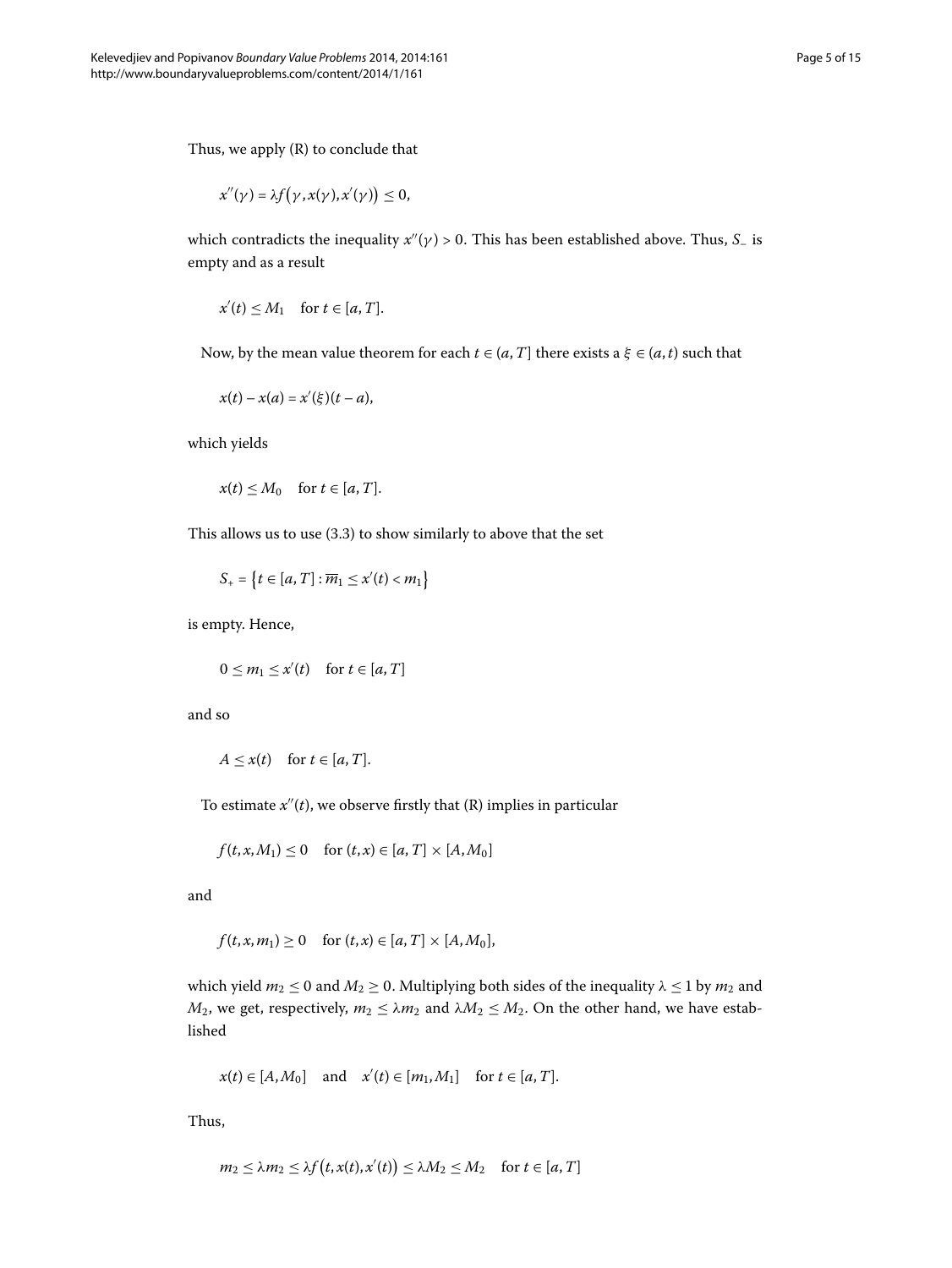Thus, we apply (R) to conclude that

$$
x''(\gamma) = \lambda f(\gamma, x(\gamma), x'(\gamma)) \leq 0,
$$

which contradicts the inequality  $x''(\gamma) > 0$ . This has been established above. Thus, *S*<sub>–</sub> is empty and as a result

$$
x'(t) \le M_1 \quad \text{for } t \in [a, T].
$$

Now, by the mean value theorem for each  $t \in (a, T]$  there exists a  $\xi \in (a, t)$  such that

$$
x(t)-x(a)=x'(\xi)(t-a),
$$

which yields

$$
x(t) \le M_0 \quad \text{for } t \in [a, T].
$$

This allows us to use  $(3.3)$  $(3.3)$  $(3.3)$  to show similarly to above that the set

$$
S_+ = \left\{ t \in [a, T] : \overline{m}_1 \le x'(t) < m_1 \right\}
$$

is empty. Hence,

$$
0 \le m_1 \le x'(t) \quad \text{for } t \in [a, T]
$$

and so

$$
A \leq x(t) \quad \text{for } t \in [a, T].
$$

To estimate  $x''(t)$ , we observe firstly that  $(R)$  implies in particular

$$
f(t, x, M_1) \le 0 \quad \text{for } (t, x) \in [a, T] \times [A, M_0]
$$

and

$$
f(t, x, m_1) \ge 0
$$
 for  $(t, x) \in [a, T] \times [A, M_0],$ 

which yield  $m_2 \le 0$  and  $M_2 \ge 0$ . Multiplying both sides of the inequality  $\lambda \le 1$  by  $m_2$  and *M*<sub>2</sub>, we get, respectively,  $m_2 \le \lambda m_2$  and  $\lambda M_2 \le M_2$ . On the other hand, we have established

$$
x(t) \in [A, M_0]
$$
 and  $x'(t) \in [m_1, M_1]$  for  $t \in [a, T]$ .

Thus,

$$
m_2 \le \lambda m_2 \le \lambda f(t, x(t), x'(t)) \le \lambda M_2 \le M_2 \quad \text{for } t \in [a, T]
$$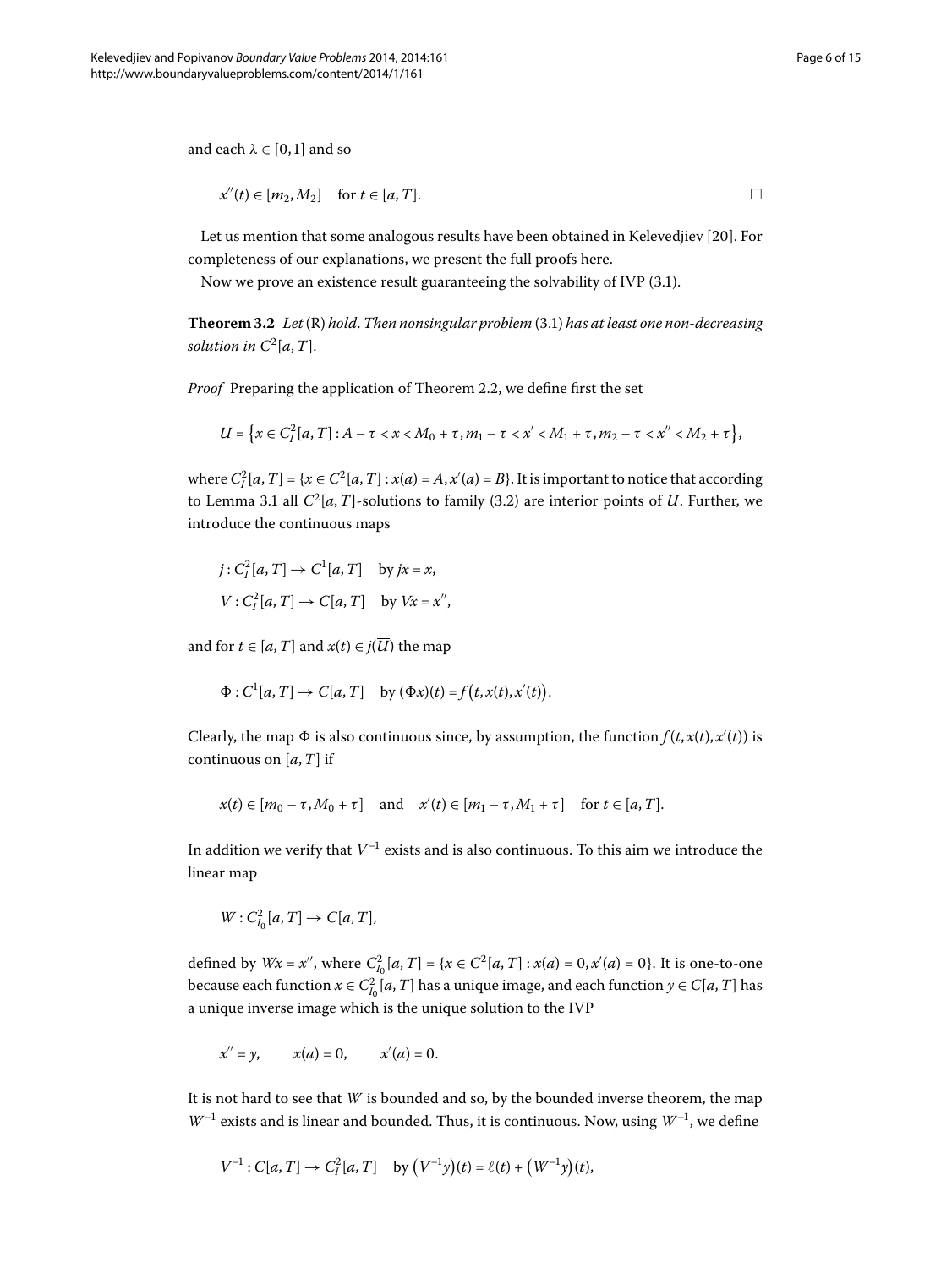<span id="page-5-0"></span>and each  $\lambda \in [0, 1]$  and so

$$
x''(t) \in [m_2, M_2] \quad \text{for } t \in [a, T].
$$

Let us mention that some analogous results have been obtained in Kelevedjiev [20[\]](#page-14-20). For completeness of our explanations, we present the full proofs here.

Now we prove an existence result guaranteeing the solvability of IVP  $(3.1)$ .

**Theorem 3[.](#page-2-1)2** Let (R) hold. Then nonsingular problem (3.1) has at least one non-decreasing *solution in*  $C^2[a, T]$ .

*Proof* Preparing the application of Theorem 2.2, we define first the set

$$
U = \big\{ x \in C_I^2[a, T] : A - \tau < x < M_0 + \tau, m_1 - \tau < x' < M_1 + \tau, m_2 - \tau < x'' < M_2 + \tau \big\},
$$

where  $C_I^2[a, T] = \{x \in C^2[a, T] : x(a) = A, x'(a) = B\}$ . It is important to notice that according to Lemma 3[.](#page-3-1)1 all  $C^2[a,T]$ -solutions to family (3.2) are interior points of *U*. Further, we introduce the continuous maps

$$
j: C_l^2[a, T] \to C^1[a, T] \quad \text{by } jx = x,
$$
  

$$
V: C_l^2[a, T] \to C[a, T] \quad \text{by } Vx = x'',
$$

and for  $t \in [a, T]$  and  $x(t) \in j(\overline{U})$  the map

$$
\Phi: C^1[a, T] \to C[a, T] \quad \text{by } (\Phi x)(t) = f(t, x(t), x'(t)).
$$

Clearly, the map  $\Phi$  is also continuous since, by assumption, the function  $f(t, x(t), x'(t))$  is continuous on [*a*,*T*] if

$$
x(t) \in [m_0 - \tau, M_0 + \tau] \quad \text{and} \quad x'(t) \in [m_1 - \tau, M_1 + \tau] \quad \text{for } t \in [a, T].
$$

In addition we verify that  $V^{-1}$  exists and is also continuous. To this aim we introduce the linear map

 $W: C^2_{I_0}[a,T] \to C[a,T],$ 

defined by  $Wx = x''$ , where  $C_{I_0}^2[a, T] = \{x \in C^2[a, T] : x(a) = 0, x'(a) = 0\}$ . It is one-to-one because each function  $x \in C_{I_0}^2[a,T]$  has a unique image, and each function  $y \in C[a,T]$  has a unique inverse image which is the unique solution to the IVP

$$
x'' = y
$$
,  $x(a) = 0$ ,  $x'(a) = 0$ .

It is not hard to see that *W* is bounded and so, by the bounded inverse theorem, the map  $W^{-1}$  exists and is linear and bounded. Thus, it is continuous. Now, using  $W^{-1}$ , we define

$$
V^{-1}: C[a, T] \to C_I^2[a, T]
$$
 by  $(V^{-1}y)(t) = \ell(t) + (W^{-1}y)(t)$ ,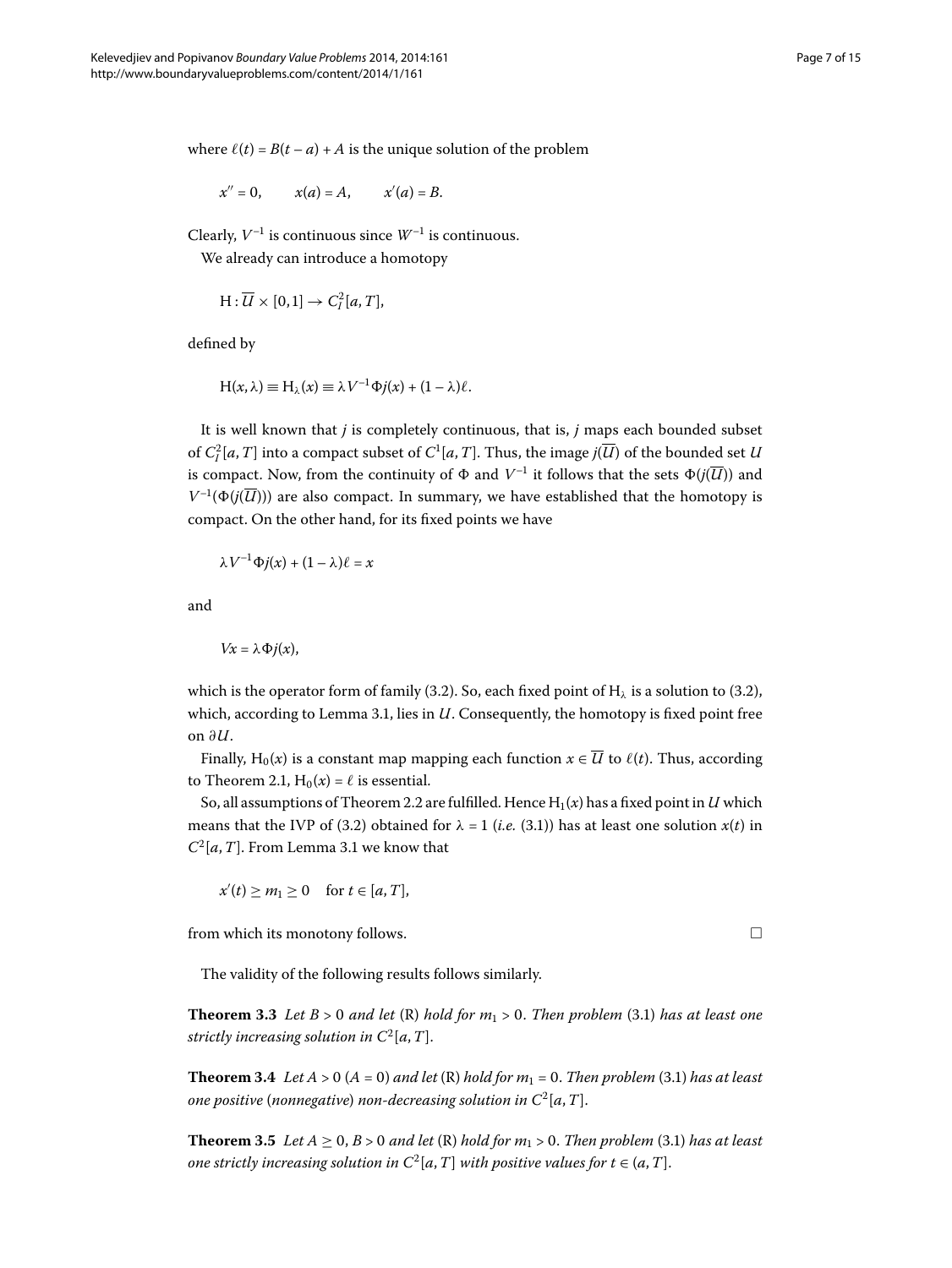where  $\ell(t) = B(t - a) + A$  is the unique solution of the problem

$$
x'' = 0
$$
,  $x(a) = A$ ,  $x'(a) = B$ .

Clearly,  $V^{-1}$  is continuous since  $W^{-1}$  is continuous. We already can introduce a homotopy

$$
H:\overline{U}\times [0,1]\to C_I^2[a,T],
$$

defined by

$$
H(x,\lambda) \equiv H_{\lambda}(x) \equiv \lambda V^{-1} \Phi j(x) + (1-\lambda)\ell.
$$

It is well known that *j* is completely continuous, that is, *j* maps each bounded subset of  $C^2_I[a,T]$  into a compact subset of  $C^1[a,T]$ . Thus, the image  $j(\overline{U})$  of the bounded set *U* is compact. Now, from the continuity of  $\Phi$  and  $V^{-1}$  it follows that the sets  $\Phi(j(\overline{U}))$  and  $V^{-1}(\Phi(j(\overline{U})))$  are also compact. In summary, we have established that the homotopy is compact. On the other hand, for its fixed points we have

$$
\lambda V^{-1} \Phi j(x) + (1 - \lambda)\ell = x
$$

and

$$
Vx=\lambda\Phi j(x),
$$

which is the operator form of family (3[.](#page-2-0)2). So, each fixed point of H<sub> $\lambda$ </sub> is a solution to (3.2), which, according to Lemma 3.1, lies in  $U$ . Consequently, the homotopy is fixed point free on *∂U*.

Finally, H<sub>0</sub>(*x*) is a constant map mapping each function  $x \in \overline{U}$  to  $\ell(t)$ . Thus, according to Theorem 2.1,  $H_0(x) = \ell$  is essential.

So, all assumptions of Theorem 2[.](#page-2-2)2 are fulfilled. Hence  $H_1(x)$  has a fixed point in *U* which means that the IVP of (3.2) obtained for  $\lambda = 1$  (*i.e.* (3.1)) has at least one solution  $x(t)$  in  $C^2[a, T]$ [.](#page-3-1) From Lemma 3.1 we know that

 $x'(t) \ge m_1 \ge 0$  for  $t \in [a, T]$ ,

from which its monotony follows.

The validity of the following results follows similarly.

**Theorem 3.3** Let  $B > 0$  and let  $(R)$  hold for  $m_1 > 0$ . Then problem (3.1) has at least one *strictly increasing solution in*  $C^2[a,T]$ .

**Theorem 3.4** Let  $A > 0$  ( $A = 0$ ) and let (R) hold for  $m_1 = 0$ . Then problem (3.1) has at least *one positive* (*nonnegative*) *non-decreasing solution in*  $C^2[a, T]$ .

**Theorem 3.5** Let  $A \ge 0$ ,  $B > 0$  and let  $(R)$  hold for  $m_1 > 0$ . Then problem (3.1) has at least *one strictly increasing solution in*  $C^2[a,T]$  *with positive values for*  $t \in (a,T]$ *.*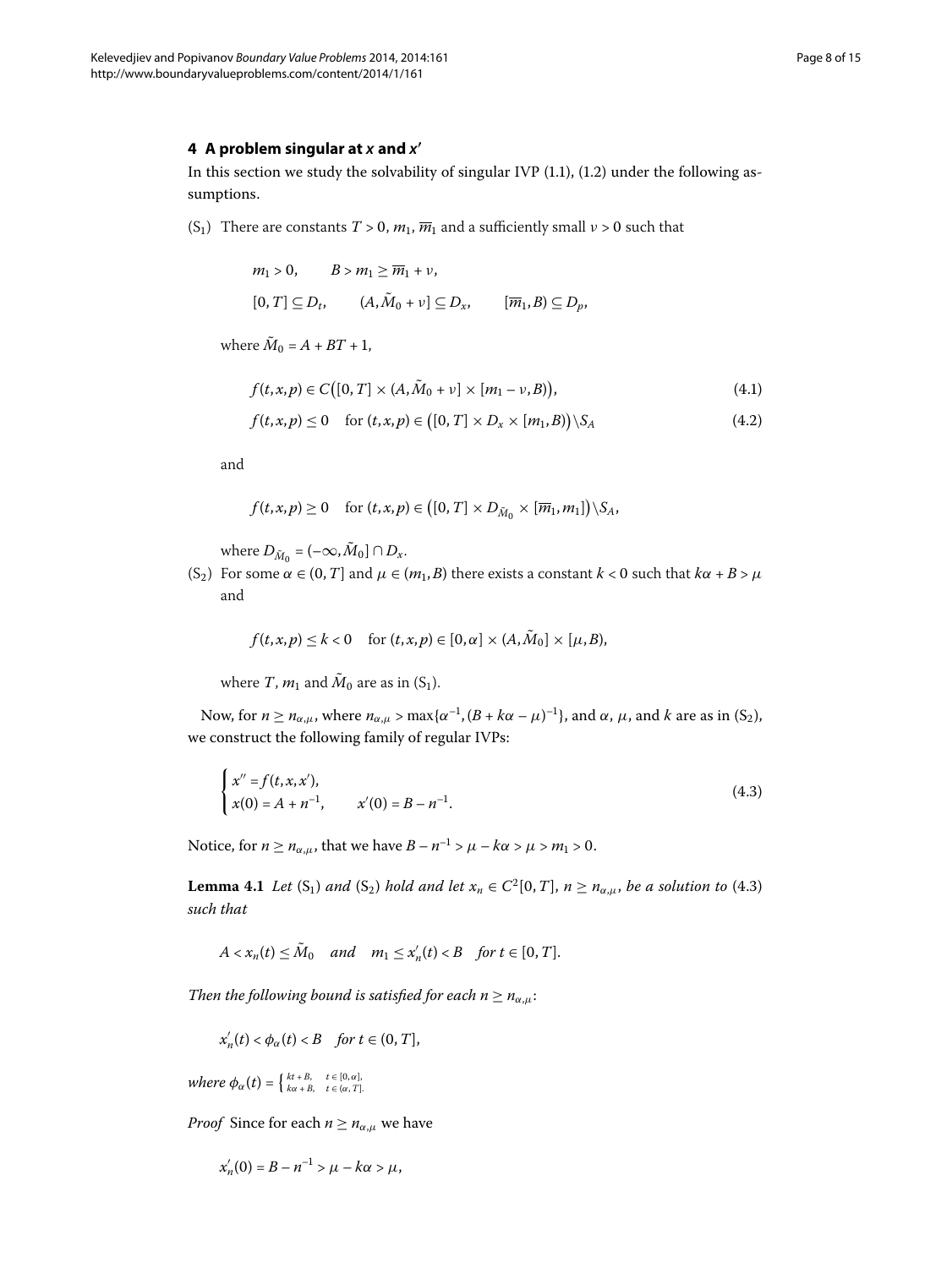# **4 A problem singular at** *x* **and** *x***-**

In this section we study the solvability of singular IVP  $(1.1)$  $(1.1)$  $(1.1)$ ,  $(1.2)$  under the following assumptions.

(S<sub>1</sub>) There are constants  $T > 0$ ,  $m_1$ ,  $\overline{m}_1$  and a sufficiently small  $\nu > 0$  such that

<span id="page-7-2"></span><span id="page-7-1"></span>
$$
m_1 > 0, \qquad B > m_1 \ge \overline{m}_1 + \nu,
$$
\n
$$
[0, T] \subseteq D_t, \qquad (A, \tilde{M}_0 + \nu] \subseteq D_x, \qquad [\overline{m}_1, B) \subseteq D_p,
$$

where  $\tilde{M}_0 = A + BT + 1$ ,

$$
f(t, x, p) \in C([0, T] \times (A, \tilde{M}_0 + \nu] \times [m_1 - \nu, B)),
$$
\n(4.1)

$$
f(t,x,p) \le 0 \quad \text{for } (t,x,p) \in \big([0,T] \times D_x \times [m_1,B)\big) \backslash S_A \tag{4.2}
$$

and

$$
f(t,x,p) \geq 0 \quad \text{for } (t,x,p) \in ([0,T] \times D_{\tilde{M}_0} \times [\overline{m}_1,m_1]) \setminus S_A,
$$

where  $D_{\tilde{M}_0} = (-\infty, \tilde{M}_0] \cap D_{\tilde{x}}$ .

(S<sub>2</sub>) For some  $\alpha \in (0, T]$  and  $\mu \in (m_1, B)$  there exists a constant  $k < 0$  such that  $k\alpha + B > \mu$ and

<span id="page-7-0"></span>
$$
f(t,x,p) \leq k < 0 \quad \text{for } (t,x,p) \in [0,\alpha] \times (A,\tilde{M}_0] \times [\mu,B),
$$

where *T*,  $m_1$  and  $\tilde{M}_0$  are as in (S<sub>1</sub>).

<span id="page-7-3"></span>Now, for *n* ≥ *n*<sub>α,μ</sub>, where *n*<sub>α,μ</sub> > max{ $α^{-1}$ , (*B* + *k*α − μ)<sup>-1</sup>}, and α, μ, and *k* are as in (S<sub>2</sub>), we construct the following family of regular IVPs:

$$
\begin{cases}\nx'' = f(t, x, x'), \\
x(0) = A + n^{-1}, \quad x'(0) = B - n^{-1}.\n\end{cases}
$$
\n(4.3)

Notice, for  $n \ge n_{\alpha,\mu}$ , that we have  $B - n^{-1} > \mu - k\alpha > \mu > m_1 > 0$ .

**Lemma 4.1** *Let* (S<sub>1</sub>) *and* (S<sub>2</sub>) *hold and let*  $x_n \in C^2[0, T]$ ,  $n \ge n_{\alpha,\mu}$ , *be a solution to* (4.3) *such that*

$$
A < x_n(t) \leq M_0 \quad \text{and} \quad m_1 \leq x'_n(t) < B \quad \text{for } t \in [0, T].
$$

*Then the following bound is satisfied for each*  $n \geq n_{\alpha,\mu}$ *:* 

$$
x'_n(t) < \phi_\alpha(t) < B \quad \text{for } t \in (0, T],
$$

 $where \phi_{\alpha}(t) = \begin{cases} kt + B, & t \in [0, \alpha], \\ ka + B, & t \in (\alpha, T]. \end{cases}$ 

*Proof* Since for each  $n \geq n_{\alpha,\mu}$  we have

$$
x'_{n}(0) = B - n^{-1} > \mu - k\alpha > \mu,
$$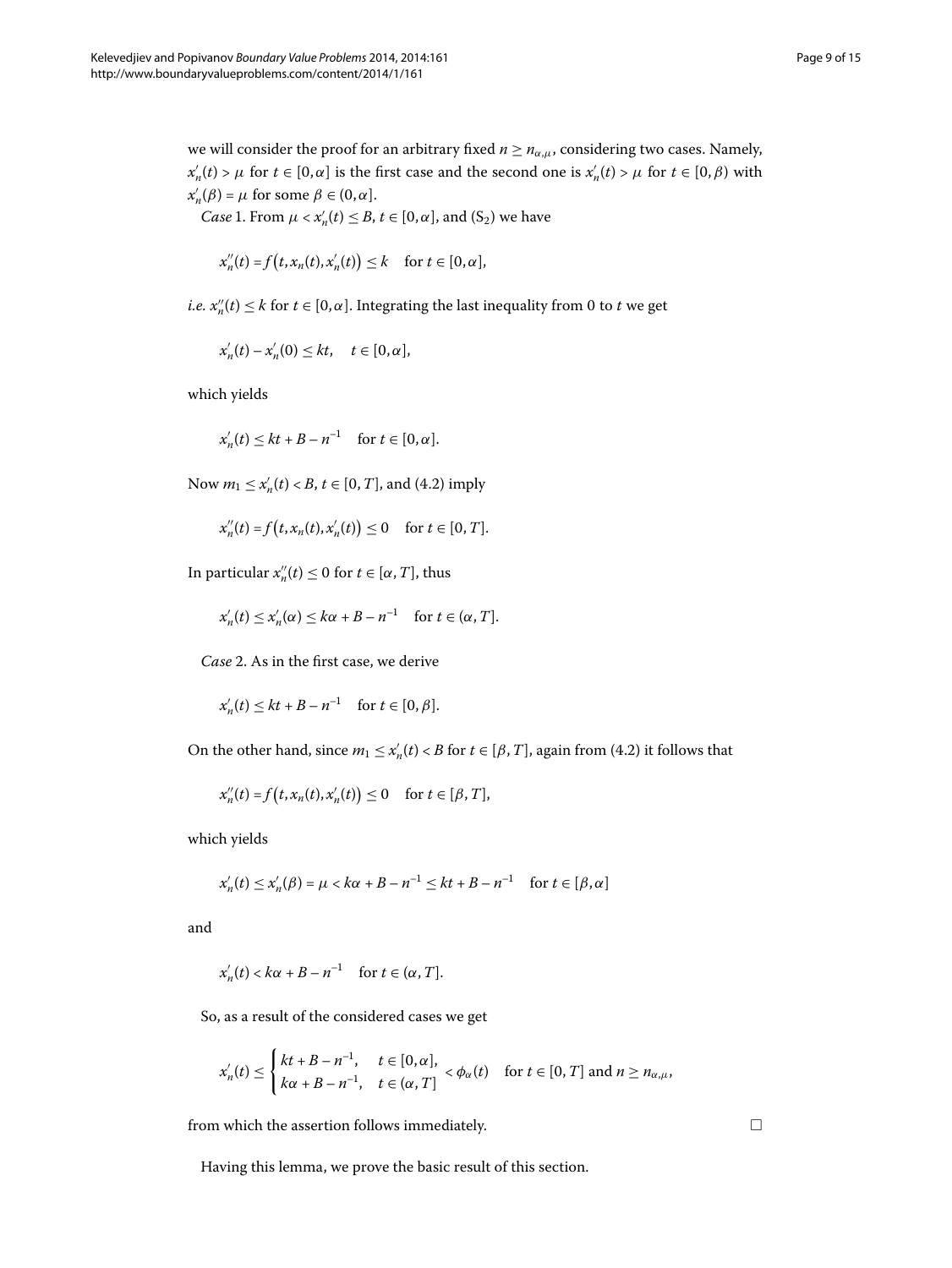we will consider the proof for an arbitrary fixed  $n \geq n_{\alpha,\mu}$ , considering two cases. Namely,  $x'_n(t) > \mu$  for  $t \in [0, \alpha]$  is the first case and the second one is  $x'_n(t) > \mu$  for  $t \in [0, \beta)$  with  $x'_n(\beta) = \mu$  for some  $\beta \in (0, \alpha]$ .

*Case* 1. From  $\mu < x'_n(t) \leq B$ ,  $t \in [0, \alpha]$ , and  $(S_2)$  we have

$$
x_n''(t) = f(t, x_n(t), x'_n(t)) \leq k \quad \text{for } t \in [0, \alpha],
$$

*i.e.*  $x''_n(t) \leq k$  for  $t \in [0, \alpha]$ . Integrating the last inequality from 0 to *t* we get

 $x'_n(t) - x'_n(0) \le kt, \quad t \in [0, \alpha],$ 

which yields

$$
x'_n(t) \le kt + B - n^{-1} \quad \text{for } t \in [0, \alpha].
$$

Now  $m_1 \le x'_n(t) < B$ ,  $t \in [0, T]$ , and (4[.](#page-7-1)2) imply

$$
x''_n(t) = f(t, x_n(t), x'_n(t)) \le 0
$$
 for  $t \in [0, T]$ .

In particular  $x''_n(t) \leq 0$  for  $t \in [\alpha, T]$ , thus

$$
x'_n(t) \le x'_n(\alpha) \le k\alpha + B - n^{-1} \quad \text{for } t \in (\alpha, T].
$$

*Case* 2. As in the first case, we derive

$$
x'_n(t) \le kt + B - n^{-1} \quad \text{for } t \in [0, \beta].
$$

On the other hand, since  $m_1 \le x_n'(t) < B$  for  $t \in [\beta, T]$ , again from (4.2) it follows that

$$
x_n''(t) = f(t, x_n(t), x'_n(t)) \le 0 \quad \text{for } t \in [\beta, T],
$$

which yields

$$
x'_{n}(t) \leq x'_{n}(\beta) = \mu < k\alpha + B - n^{-1} \leq kt + B - n^{-1} \quad \text{for } t \in [\beta, \alpha]
$$

and

$$
x'_{n}(t) < k\alpha + B - n^{-1} \quad \text{for } t \in (\alpha, T].
$$

So, as a result of the considered cases we get

$$
x'_{n}(t) \leq \begin{cases} kt + B - n^{-1}, & t \in [0, \alpha], \\ k\alpha + B - n^{-1}, & t \in (\alpha, T] \end{cases} < \phi_{\alpha}(t) \quad \text{for } t \in [0, T] \text{ and } n \geq n_{\alpha,\mu},
$$

from which the assertion follows immediately.

Having this lemma, we prove the basic result of this section.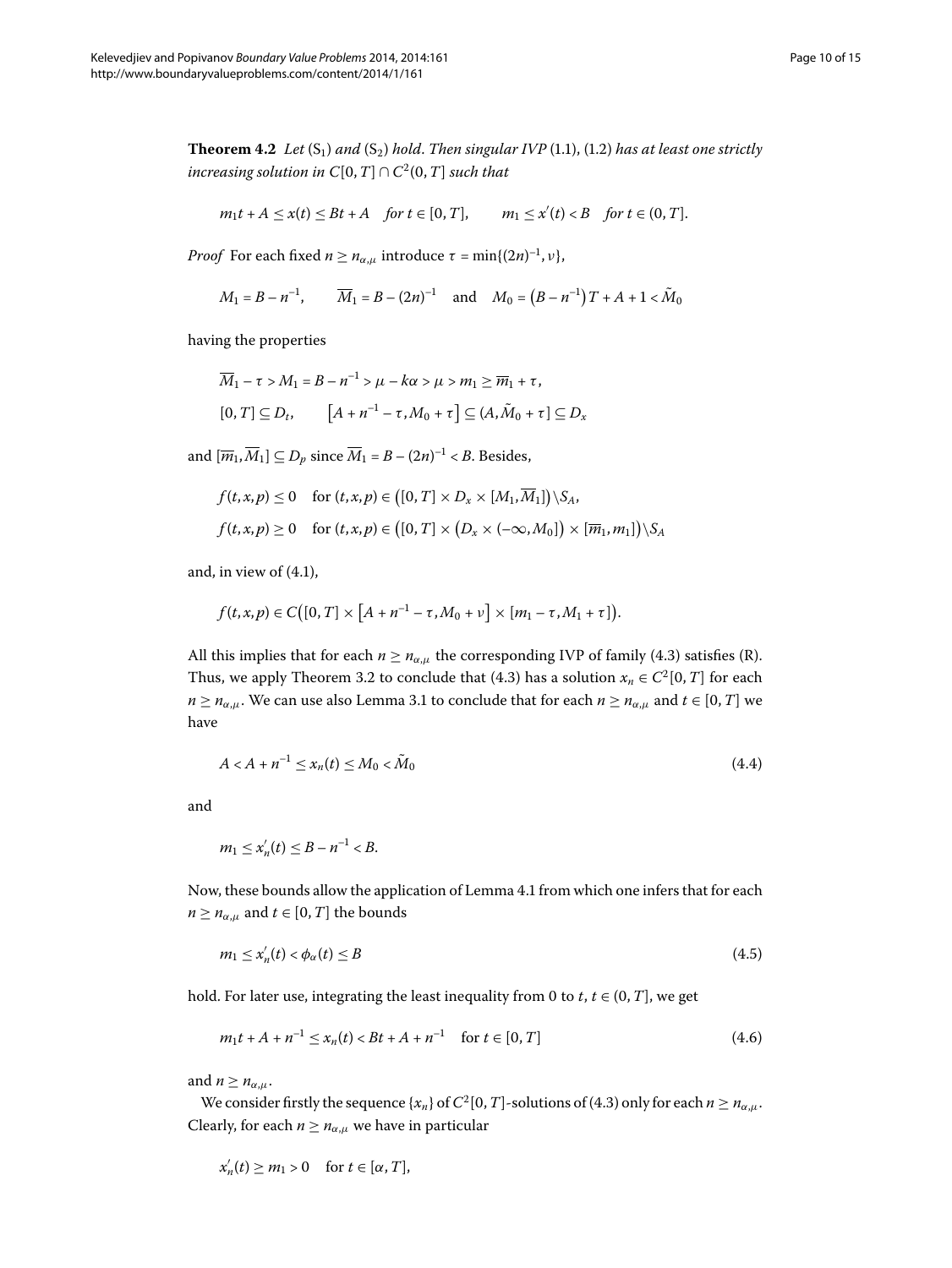<span id="page-9-3"></span>**Theorem 4.2** Let  $(S_1)$  and  $(S_2)$  hold. Then singular IVP (1.1), (1.2) has at least one strictly *increasing solution in*  $C[0, T] \cap C^2(0, T]$  *such that* 

$$
m_1t + A \leq x(t) \leq Bt + A \quad \text{for } t \in [0, T], \qquad m_1 \leq x'(t) < B \quad \text{for } t \in (0, T].
$$

*Proof* For each fixed  $n \geq n_{\alpha,\mu}$  introduce  $\tau = \min\{(2n)^{-1}, \nu\}$ ,

$$
M_1 = B - n^{-1}
$$
,  $\overline{M}_1 = B - (2n)^{-1}$  and  $M_0 = (B - n^{-1})T + A + 1 < \tilde{M}_0$ 

having the properties

$$
\overline{M}_1 - \tau > M_1 = B - n^{-1} > \mu - k\alpha > \mu > m_1 \ge \overline{m}_1 + \tau,
$$
\n
$$
[0, T] \subseteq D_t, \qquad [A + n^{-1} - \tau, M_0 + \tau] \subseteq (A, \tilde{M}_0 + \tau] \subseteq D_x
$$

and  $[\overline{m}_1, \overline{M}_1] \subseteq D_p$  since  $\overline{M}_1 = B - (2n)^{-1} < B$ . Besides,

$$
f(t, x, p) \le 0 \quad \text{for } (t, x, p) \in ([0, T] \times D_x \times [M_1, \overline{M}_1]) \setminus S_A,
$$
  

$$
f(t, x, p) \ge 0 \quad \text{for } (t, x, p) \in ([0, T] \times (D_x \times (-\infty, M_0]) \times [\overline{m}_1, m_1]) \setminus S_A
$$

and, in view of  $(4.1)$ ,

<span id="page-9-1"></span>
$$
f(t, x, p) \in C([0, T] \times [A + n^{-1} - \tau, M_0 + \nu] \times [m_1 - \tau, M_1 + \tau]).
$$

All this implies that for each  $n \geq n_{\alpha,\mu}$  the corresponding IVP of family (4.3) satisfies (R). Thus, we apply Theorem 3[.](#page-5-0)2 to conclude that (4.3) has a solution  $x_n \in C^2[0, T]$  for each *n*  $\ge$  *n*<sub>*α*</sub>,*μ*[.](#page-3-1) We can use also Lemma 3.1 to conclude that for each *n*  $\ge$  *n*<sub>*α*</sub>,*μ* and *t* ∈ [0, *T*] we have

$$
A < A + n^{-1} \le x_n(t) \le M_0 < \tilde{M}_0
$$
\n(4.4)

and

<span id="page-9-2"></span><span id="page-9-0"></span>
$$
m_1 \le x'_n(t) \le B - n^{-1} < B.
$$

Now, these bounds allow the application of Lemma 4[.](#page-7-3)1 from which one infers that for each  $n \geq n_{\alpha,\mu}$  and  $t \in [0, T]$  the bounds

$$
m_1 \le x'_n(t) < \phi_\alpha(t) \le B \tag{4.5}
$$

hold. For later use, integrating the least inequality from 0 to  $t, t \in (0, T]$ , we get

$$
m_1t + A + n^{-1} \le x_n(t) < Bt + A + n^{-1} \quad \text{for } t \in [0, T] \tag{4.6}
$$

and  $n \geq n_{\alpha,\mu}$ .

We consider firstly the sequence { $x_n$ } of  $C^2[0, T]$ -solutions of (4[.](#page-7-0)3) only for each  $n \ge n_{\alpha,\mu}$ . Clearly, for each  $n \geq n_{\alpha,\mu}$  we have in particular

$$
x'_n(t) \ge m_1 > 0 \quad \text{for } t \in [\alpha, T],
$$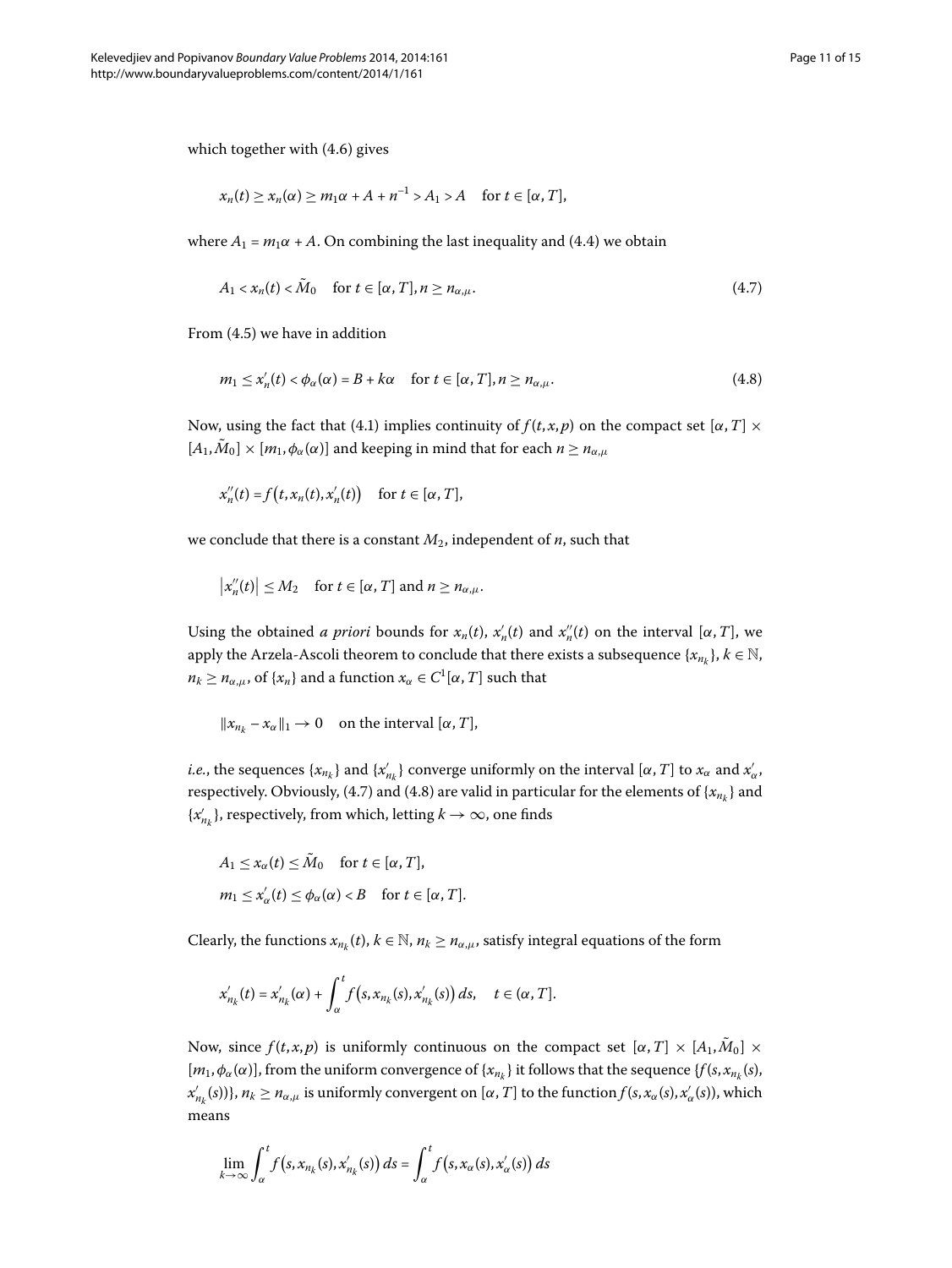which together with  $(4.6)$  gives

<span id="page-10-1"></span><span id="page-10-0"></span>
$$
x_n(t) \ge x_n(\alpha) \ge m_1 \alpha + A + n^{-1} > A_1 > A \quad \text{for } t \in [\alpha, T],
$$

where  $A_1 = m_1 \alpha + A$ . On combining the last inequality and (4.4) we obtain

$$
A_1 < x_n(t) < \tilde{M}_0 \quad \text{for } t \in [\alpha, T], n \ge n_{\alpha, \mu}. \tag{4.7}
$$

From  $(4.5)$  we have in addition

$$
m_1 \le x'_n(t) < \phi_\alpha(\alpha) = B + k\alpha \quad \text{for } t \in [\alpha, T], n \ge n_{\alpha,\mu}.\tag{4.8}
$$

Now, using the fact that (4[.](#page-7-2)1) implies continuity of  $f(t, x, p)$  on the compact set  $\alpha, T \times T$  $[A_1, \tilde{M}_0] \times [m_1, \phi_\alpha(\alpha)]$  and keeping in mind that for each  $n \geq n_{\alpha,\mu}$ 

 $x_n''(t) = f(t, x_n(t), x'_n(t))$  for  $t \in [\alpha, T]$ ,

we conclude that there is a constant  $M_2$ , independent of  $n$ , such that

$$
\big|x_n''(t)\big| \le M_2 \quad \text{for } t \in [\alpha, T] \text{ and } n \ge n_{\alpha,\mu}.
$$

Using the obtained *a priori* bounds for  $x_n(t)$ ,  $x'_n(t)$  and  $x''_n(t)$  on the interval [ $\alpha$ ,  $T$ ], we apply the Arzela-Ascoli theorem to conclude that there exists a subsequence  $\{x_{n_k}\}, k \in \mathbb{N}$ ,  $n_k \geq n_{\alpha,\mu}$ , of  $\{x_n\}$  and a function  $x_\alpha \in C^1[\alpha,T]$  such that

$$
\|x_{n_k} - x_\alpha\|_1 \to 0 \quad \text{on the interval } [\alpha, T],
$$

*i.e.*, the sequences  $\{x_{n_k}\}$  and  $\{x'_{n_k}\}$  converge uniformly on the interval  $[\alpha, T]$  to  $x_\alpha$  and  $x'_\alpha$ , respectively[.](#page-10-0) Obviously, (4.7) and (4.8) are valid in particular for the elements of  $\{x_{n_k}\}$  and  $\{x'_{n_k}\}\text{, respectively, from which, letting } k \to \infty\text{, one finds}$ 

$$
A_1 \le x_\alpha(t) \le \tilde{M}_0 \quad \text{for } t \in [\alpha, T],
$$
  

$$
m_1 \le x'_\alpha(t) \le \phi_\alpha(\alpha) < B \quad \text{for } t \in [\alpha, T].
$$

Clearly, the functions  $x_{n_k}(t)$ ,  $k \in \mathbb{N}$ ,  $n_k \geq n_{\alpha,\mu}$ , satisfy integral equations of the form

$$
x'_{n_k}(t) = x'_{n_k}(\alpha) + \int_{\alpha}^t f(s, x_{n_k}(s), x'_{n_k}(s)) ds, \quad t \in (\alpha, T].
$$

Now, since  $f(t, x, p)$  is uniformly continuous on the compact set  $[\alpha, T] \times [A_1, M_0] \times$  $[m_1, \phi_\alpha(\alpha)]$ , from the uniform convergence of  $\{x_{n_k}\}$  it follows that the sequence  $\{f(s, x_{n_k}(s),\alpha)\}$ *x'*<sub>n<sub>k</sub></sub>(*s*))}, *n<sub>k</sub>*  $\ge$  *n<sub>α,μ</sub>* is uniformly convergent on [*α*, *T*] to the function *f*(*s*, *x<sub>α</sub>*(*s*), *x'<sub>α</sub>*(*s*)), which means

$$
\lim_{k\to\infty}\int_{\alpha}^{t}f(s,x_{n_k}(s),x'_{n_k}(s))\,ds=\int_{\alpha}^{t}f(s,x_{\alpha}(s),x'_{\alpha}(s))\,ds
$$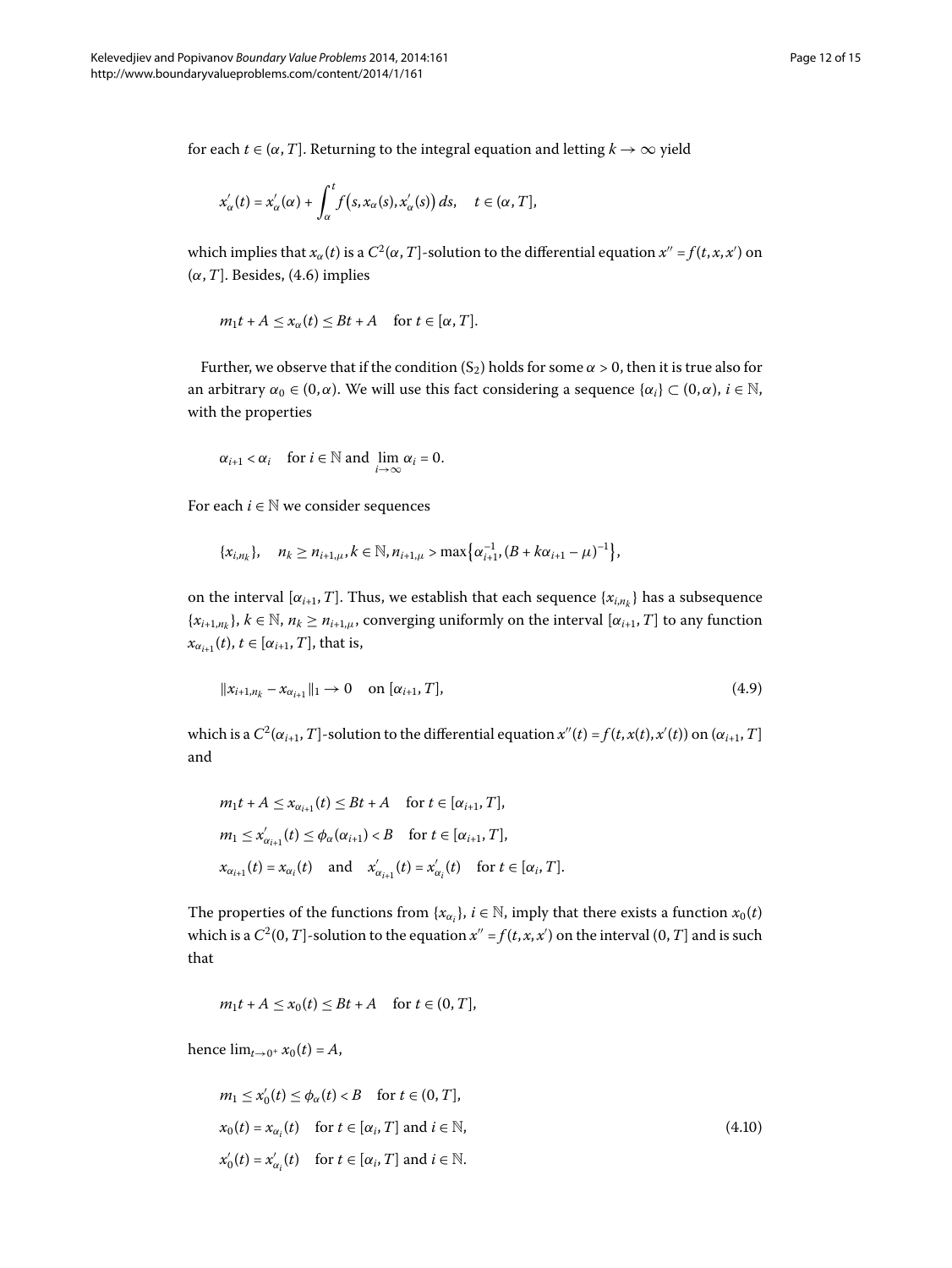for each  $t \in (\alpha, T]$ . Returning to the integral equation and letting  $k \to \infty$  yield

$$
x'_{\alpha}(t) = x'_{\alpha}(\alpha) + \int_{\alpha}^{t} f(s, x_{\alpha}(s), x'_{\alpha}(s)) ds, \quad t \in (\alpha, T],
$$

which implies that  $x_\alpha(t)$  is a  $C^2(\alpha,T]$ -solution to the differential equation  $x'' = f(t,x,x')$  on  $(\alpha, T]$ . Besides, (4.6) implies

$$
m_1t + A \leq x_\alpha(t) \leq Bt + A
$$
 for  $t \in [\alpha, T]$ .

Further, we observe that if the condition  $(S_2)$  holds for some  $\alpha > 0$ , then it is true also for an arbitrary  $\alpha_0 \in (0, \alpha)$ . We will use this fact considering a sequence  $\{\alpha_i\} \subset (0, \alpha)$ ,  $i \in \mathbb{N}$ , with the properties

$$
\alpha_{i+1} < \alpha_i
$$
 for  $i \in \mathbb{N}$  and  $\lim_{i \to \infty} \alpha_i = 0$ .

For each  $i \in \mathbb{N}$  we consider sequences

<span id="page-11-0"></span>
$$
\{x_{i,n_k}\}, \quad n_k \ge n_{i+1,\mu}, k \in \mathbb{N}, n_{i+1,\mu} > \max\bigl\{\alpha_{i+1}^{-1}, (B + k\alpha_{i+1} - \mu)^{-1}\bigr\},\
$$

on the interval  $[\alpha_{i+1}, T]$ . Thus, we establish that each sequence  $\{x_{i,n_k}\}\)$  has a subsequence  ${x_{i+1,n_k}}$ ,  $k \in \mathbb{N}$ ,  $n_k \ge n_{i+1,\mu}$ , converging uniformly on the interval  $[\alpha_{i+1}, T]$  to any function  $x_{\alpha_{i+1}}(t), t \in [\alpha_{i+1}, T]$ , that is,

$$
\|x_{i+1,n_k} - x_{\alpha_{i+1}}\|_1 \to 0 \quad \text{on } [\alpha_{i+1}, T], \tag{4.9}
$$

which is a  $C^2(\alpha_{i+1}, T]$ -solution to the differential equation  $x''(t) = f(t, x(t), x'(t))$  on  $(\alpha_{i+1}, T]$ and

$$
m_1t + A \le x_{\alpha_{i+1}}(t) \le Bt + A \quad \text{for } t \in [\alpha_{i+1}, T],
$$
  
\n
$$
m_1 \le x'_{\alpha_{i+1}}(t) \le \phi_\alpha(\alpha_{i+1}) < B \quad \text{for } t \in [\alpha_{i+1}, T],
$$
  
\n
$$
x_{\alpha_{i+1}}(t) = x_{\alpha_i}(t) \quad \text{and} \quad x'_{\alpha_{i+1}}(t) = x'_{\alpha_i}(t) \quad \text{for } t \in [\alpha_i, T].
$$

The properties of the functions from  $\{x_{\alpha_i}\}, i \in \mathbb{N}$ , imply that there exists a function  $x_0(t)$ which is a  $C^2(0,T]$ -solution to the equation  $x'' = f(t,x,x')$  on the interval  $(0,T]$  and is such that

<span id="page-11-1"></span>
$$
m_1t + A \le x_0(t) \le Bt + A \quad \text{for } t \in (0, T],
$$

hence  $\lim_{t \to 0^+} x_0(t) = A$ ,

$$
m_1 \le x'_0(t) \le \phi_\alpha(t) < B \quad \text{for } t \in (0, T],
$$
\n
$$
x_0(t) = x_{\alpha_i}(t) \quad \text{for } t \in [\alpha_i, T] \text{ and } i \in \mathbb{N},
$$
\n
$$
x'_0(t) = x'_{\alpha_i}(t) \quad \text{for } t \in [\alpha_i, T] \text{ and } i \in \mathbb{N}.
$$
\n
$$
(4.10)
$$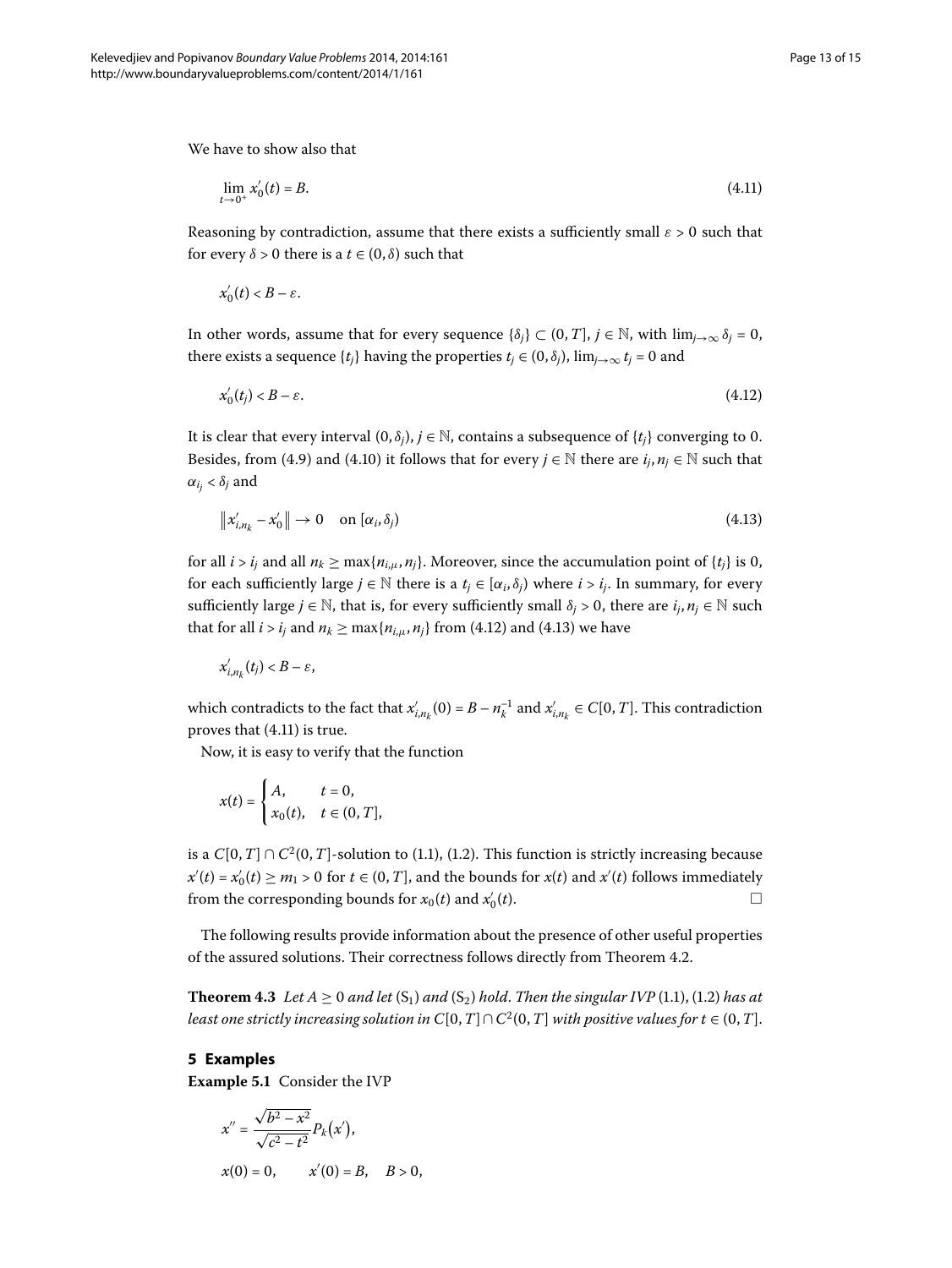We have to show also that

<span id="page-12-2"></span>
$$
\lim_{t \to 0^+} x'_0(t) = B. \tag{4.11}
$$

Reasoning by contradiction, assume that there exists a sufficiently small  $\varepsilon > 0$  such that for every  $\delta > 0$  there is a  $t \in (0, \delta)$  such that

<span id="page-12-0"></span>
$$
x'_0(t) < B - \varepsilon.
$$

In other words, assume that for every sequence  $\{\delta_i\} \subset (0, T]$ ,  $j \in \mathbb{N}$ , with  $\lim_{j \to \infty} \delta_j = 0$ , there exists a sequence  $\{t_i\}$  having the properties  $t_j \in (0, \delta_j)$ ,  $\lim_{j \to \infty} t_j = 0$  and

<span id="page-12-1"></span>
$$
x'_0(t_j) < B - \varepsilon. \tag{4.12}
$$

It is clear that every interval  $(0, \delta_i)$ ,  $j \in \mathbb{N}$ , contains a subsequence of  $\{t_i\}$  converging to 0. Besides, from (4.9) and (4.10) it follows that for every  $j \in \mathbb{N}$  there are  $i_j, n_j \in \mathbb{N}$  such that  $\alpha_{i_j} < \delta_j$  and

$$
\|x'_{i,n_k} - x'_0\| \to 0 \quad \text{on } [\alpha_i, \delta_j)
$$
\n(4.13)

for all  $i > i_j$  and all  $n_k \ge \max\{n_{i,\mu}, n_j\}$ . Moreover, since the accumulation point of  $\{t_i\}$  is 0, for each sufficiently large  $j \in \mathbb{N}$  there is a  $t_j \in [\alpha_i, \delta_j)$  where  $i > i_j$ . In summary, for every sufficiently large  $j \in \mathbb{N}$ , that is, for every sufficiently small  $\delta_j > 0$ , there are  $i_j, n_j \in \mathbb{N}$  such that for all  $i > i_j$  and  $n_k \ge \max\{n_{i,\mu}, n_j\}$  from (4.12) and (4.13) we have

$$
x'_{i,n_k}(t_j) < B - \varepsilon
$$

which contradicts to the fact that  $x'_{i,n_k}(0) = B - n_k^{-1}$  and  $x'_{i,n_k} \in C[0,T]$ . This contradiction proves that  $(4.11)$  is true.

Now, it is easy to verify that the function

$$
x(t) = \begin{cases} A, & t = 0, \\ x_0(t), & t \in (0, T], \end{cases}
$$

<span id="page-12-3"></span>is a  $C[0,T] \cap C^2(0,T]$ -solution to (1[.](#page-0-2)1), (1.2). This function is strictly increasing because  $x'(t) = x'_0(t) \ge m_1 > 0$  for  $t \in (0, T]$ , and the bounds for  $x(t)$  and  $x'(t)$  follows immediately from the corresponding bounds for  $x_0(t)$  and  $x'_0(t)$ .  $\int_0^t(t)$ .

The following results provide information about the presence of other useful properties of the assured solutions. Their correctness follows directly from Theorem 4.2.

**Theorem 4.3** Let  $A \ge 0$  and let  $(S_1)$  and  $(S_2)$  hold. Then the singular IVP (1.1), (1.2) has at *least one strictly increasing solution in*  $C[0,T] \cap C^2(0,T]$  *with positive values for*  $t \in (0,T]$ *.* 

# **5 Examples**

**Example 5.1** Consider the IVP

$$
x'' = \frac{\sqrt{b^2 - x^2}}{\sqrt{c^2 - t^2}} P_k(x'),
$$

$$
x(0) = 0
$$
,  $x'(0) = B$ ,  $B > 0$ ,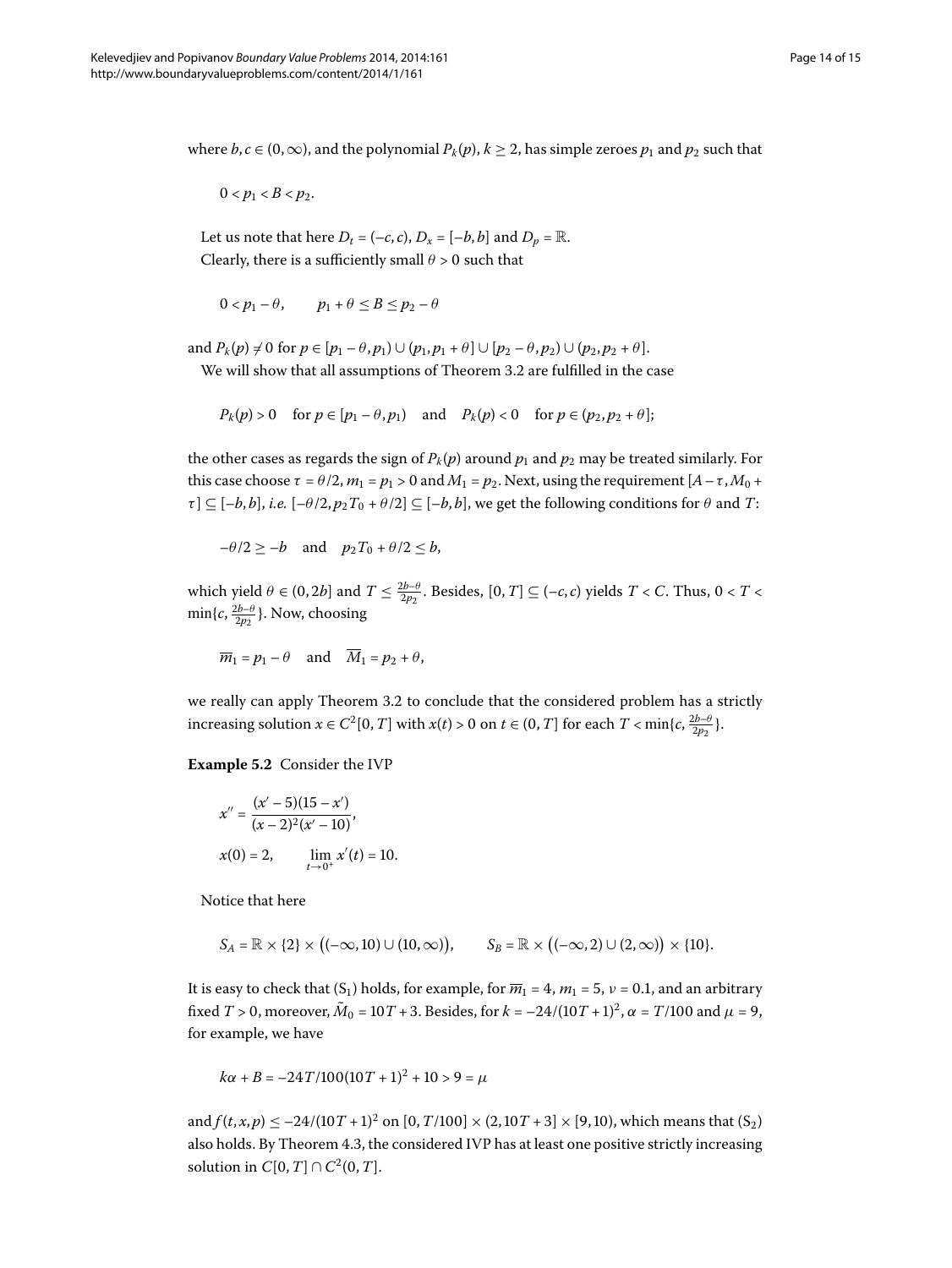where  $b, c \in (0, \infty)$ , and the polynomial  $P_k(p), k \ge 2$ , has simple zeroes  $p_1$  and  $p_2$  such that

 $0 < p_1 < B < p_2$ .

Let us note that here  $D_t = (-c, c)$ ,  $D_x = [-b, b]$  and  $D_p = \mathbb{R}$ . Clearly, there is a sufficiently small  $\theta > 0$  such that

$$
0 < p_1 - \theta, \qquad p_1 + \theta \le B \le p_2 - \theta
$$

and  $P_k(p) \neq 0$  for  $p \in [p_1 - \theta, p_1) \cup (p_1, p_1 + \theta] \cup [p_2 - \theta, p_2) \cup (p_2, p_2 + \theta]$ .

We will show that all assumptions of Theorem 3[.](#page-5-0)2 are fulfilled in the case

 $P_k(p) > 0$  for  $p \in [p_1 - \theta, p_1)$  and  $P_k(p) < 0$  for  $p \in (p_2, p_2 + \theta]$ ;

the other cases as regards the sign of  $P_k(p)$  around  $p_1$  and  $p_2$  may be treated similarly. For this case choose  $\tau = \theta/2$ ,  $m_1 = p_1 > 0$  and  $M_1 = p_2$ . Next, using the requirement  $[A - \tau, M_0 +$  $\tau$ ]  $\subseteq$  [*-b*, *b*], *i.e.* [*-θ*/2,  $p_2T_0 + \theta/2$ ]  $\subseteq$  [*-b*, *b*], we get the following conditions for  $\theta$  and *T*:

 $-\theta/2 \geq -b$  and  $p_2T_0 + \theta/2 \leq b$ ,

which yield  $\theta \in (0, 2b]$  and  $T \leq \frac{2b-\theta}{2p_2}$ . Besides,  $[0, T] \subseteq (-c, c)$  yields  $T < C$ . Thus,  $0 < T <$  $\min\{c, \frac{2b-\theta}{2p_2}\}.$  Now, choosing

$$
\overline{m}_1 = p_1 - \theta
$$
 and  $\overline{M}_1 = p_2 + \theta$ ,

we really can apply Theorem 3[.](#page-5-0)2 to conclude that the considered problem has a strictly increasing solution  $x \in C^2[0, T]$  with  $x(t) > 0$  on  $t \in (0, T]$  for each  $T < \min\{c, \frac{2b-\theta}{2p_2}\}$ .

**Example 5.2** Consider the IVP

$$
x'' = \frac{(x'-5)(15-x')}{(x-2)^2(x'-10)},
$$
  
x(0) = 2, 
$$
\lim_{t \to 0^+} x'(t) = 10.
$$

Notice that here

$$
S_A = \mathbb{R} \times \{2\} \times ((-\infty, 10) \cup (10, \infty)), \qquad S_B = \mathbb{R} \times ((-\infty, 2) \cup (2, \infty)) \times \{10\}.
$$

It is easy to check that  $(S_1)$  holds, for example, for  $\overline{m_1} = 4$ ,  $m_1 = 5$ ,  $\nu = 0.1$ , and an arbitrary fixed *T* > 0, moreover,  $\tilde{M}_0 = 10T + 3$ . Besides, for  $k = -24/(10T + 1)^2$ ,  $\alpha = T/100$  and  $\mu = 9$ , for example, we have

$$
k\alpha + B = -24T/100(10T + 1)^2 + 10 > 9 = \mu
$$

and  $f(t, x, p) \le -24/(10T + 1)^2$  on  $[0, T/100] \times (2, 10T + 3] \times [9, 10)$ , which means that  $(S_2)$ also holds[.](#page-12-3) By Theorem 4.3, the considered IVP has at least one positive strictly increasing solution in *C*[0,*T*] ∩ *C*<sup>2</sup>(0,*T*].